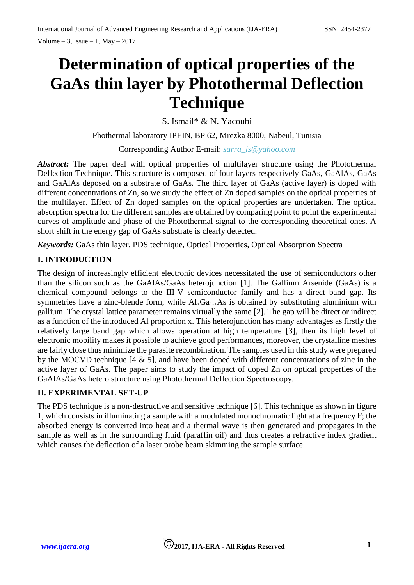# **Determination of optical properties of the GaAs thin layer by Photothermal Deflection Technique**

S. Ismail\* & N. Yacoubi

Phothermal laboratory IPEIN, BP 62, Mrezka 8000, Nabeul, Tunisia

Corresponding Author E-mail: *[sarra\\_is@yahoo.com](mailto:sarra_is@yahoo.com)*

*Abstract:* The paper deal with optical properties of multilayer structure using the Photothermal Deflection Technique. This structure is composed of four layers respectively GaAs, GaAlAs, GaAs and GaAlAs deposed on a substrate of GaAs. The third layer of GaAs (active layer) is doped with different concentrations of Zn, so we study the effect of Zn doped samples on the optical properties of the multilayer. Effect of Zn doped samples on the optical properties are undertaken. The optical absorption spectra for the different samples are obtained by comparing point to point the experimental curves of amplitude and phase of the Photothermal signal to the corresponding theoretical ones. A short shift in the energy gap of GaAs substrate is clearly detected.

*Keywords:* GaAs thin layer, PDS technique, Optical Properties, Optical Absorption Spectra

### **I. INTRODUCTION**

The design of increasingly efficient electronic devices necessitated the use of semiconductors other than the silicon such as the GaAlAs/GaAs heterojunction [1]. The Gallium Arsenide (GaAs) is a chemical compound belongs to the III-V semiconductor family and has a direct band gap. Its symmetries have a zinc-blende form, while  $Al_xGa_{1-x}As$  is obtained by substituting aluminium with gallium. The crystal lattice parameter remains virtually the same [2]. The gap will be direct or indirect as a function of the introduced Al proportion x. This heterojunction has many advantages as firstly the relatively large band gap which allows operation at high temperature [3], then its high level of electronic mobility makes it possible to achieve good performances, moreover, the crystalline meshes are fairly close thus minimize the parasite recombination. The samples used in this study were prepared by the MOCVD technique [4 & 5], and have been doped with different concentrations of zinc in the active layer of GaAs. The paper aims to study the impact of doped Zn on optical properties of the GaAlAs/GaAs hetero structure using Photothermal Deflection Spectroscopy.

#### **II. EXPERIMENTAL SET-UP**

The PDS technique is a non-destructive and sensitive technique [6]. This technique as shown in figure 1, which consists in illuminating a sample with a modulated monochromatic light at a frequency F; the absorbed energy is converted into heat and a thermal wave is then generated and propagates in the sample as well as in the surrounding fluid (paraffin oil) and thus creates a refractive index gradient which causes the deflection of a laser probe beam skimming the sample surface.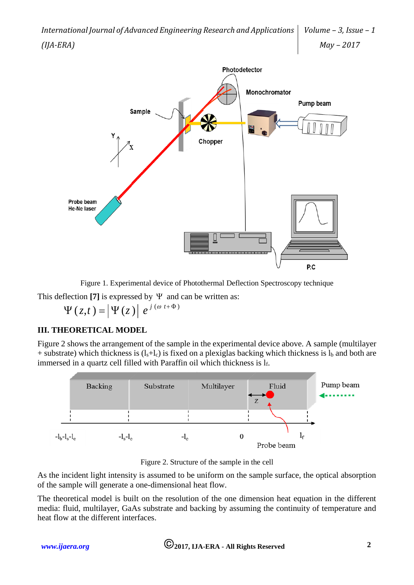

Figure 1. Experimental device of Photothermal Deflection Spectroscopy technique

This deflection [7] is expressed by  $\Psi$  and can be written as:

$$
\Psi(z,t) = \left|\Psi(z)\right| e^{j(\omega t + \Phi)}
$$

#### **III. THEORETICAL MODEL**

Figure 2 shows the arrangement of the sample in the experimental device above. A sample (multilayer + substrate) which thickness is  $(l_s + l_c)$  is fixed on a plexiglas backing which thickness is  $l_b$  and both are immersed in a quartz cell filled with Paraffin oil which thickness is  $l_f$ .



Figure 2. Structure of the sample in the cell

As the incident light intensity is assumed to be uniform on the sample surface, the optical absorption of the sample will generate a one-dimensional heat flow.

The theoretical model is built on the resolution of the one dimension heat equation in the different media: fluid, multilayer, GaAs substrate and backing by assuming the continuity of temperature and heat flow at the different interfaces.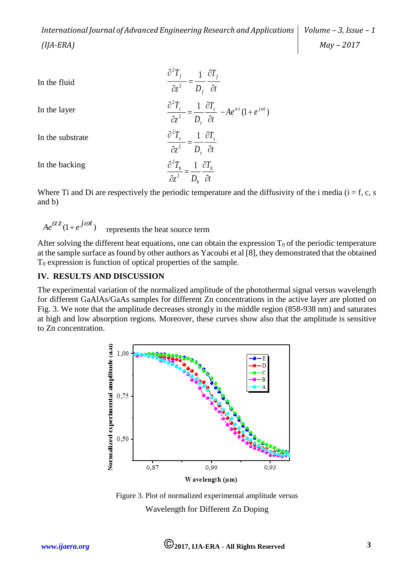*International Journal of Advanced Engineering Research and Applications (IJA-ERA) Volume – 3, Issue – 1 May – 2017*

In the fluid  
\nIn the layer  
\nIn the subscript  
\n
$$
\frac{\partial^2 T_f}{\partial z^2} = \frac{1}{D_f} \frac{\partial T_f}{\partial t}
$$
\nIn the absolute  
\n
$$
\frac{\partial^2 T_c}{\partial z^2} = \frac{1}{D_c} \frac{\partial T_c}{\partial t} - Ae^{\alpha z} (1 + e^{j\omega t})
$$
\nIn the substrate  
\n
$$
\frac{\partial^2 T_s}{\partial z^2} = \frac{1}{D_s} \frac{\partial T_s}{\partial t}
$$
\nIn the backing  
\n
$$
\frac{\partial^2 T_b}{\partial z^2} = \frac{1}{D_b} \frac{\partial T_b}{\partial t}
$$
\nWhere Ti and Di are respectively the periodic temperature and the diffi

liffusivity of the i media ( $i = f, c, s$ and b)

 represents the heat source term  $Ae^{az}(1+e^{j\omega t})$ 

After solving the different heat equations, one can obtain the expression  $T_0$  of the periodic temperature at the sample surface as found by other authors as Yacoubi et al [8], they demonstrated that the obtained T<sup>0</sup> expression is function of optical properties of the sample.

#### **IV. RESULTS AND DISCUSSION**

The experimental variation of the normalized amplitude of the photothermal signal versus wavelength for different GaAlAs/GaAs samples for different Zn concentrations in the active layer are plotted on Fig. 3. We note that the amplitude decreases strongly in the middle region (858-938 nm) and saturates at high and low absorption regions. Moreover, these curves show also that the amplitude is sensitive to Zn concentration.



Figure 3. Plot of normalized experimental amplitude versus Wavelength for Different Zn Doping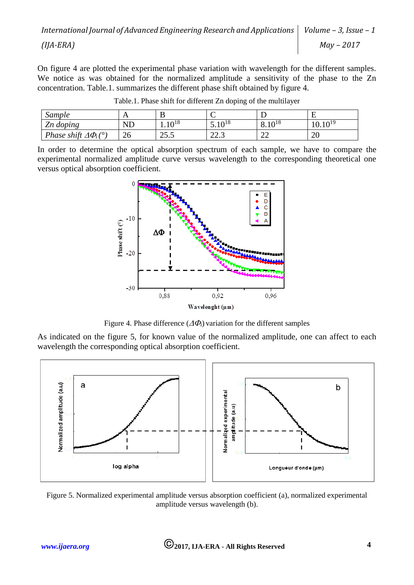On figure 4 are plotted the experimental phase variation with wavelength for the different samples. We notice as was obtained for the normalized amplitude a sensitivity of the phase to the Zn concentration. Table.1. summarizes the different phase shift obtained by figure 4.

| sample                          |          | ്                         | ╰                        |                   |                    |
|---------------------------------|----------|---------------------------|--------------------------|-------------------|--------------------|
| Zn doping                       | $\rm ND$ | 1 $\bigcap$ <sup>18</sup> | $10^{18}$<br>J.IV        | $10^{18}$<br>0.11 | $10^{19}$<br>10.10 |
| Phase shift $\Delta \Phi_i$ (°) | ∠∪       | 255<br>ن. ر⊾              | $\cap$ $\cap$<br>ن سا سا | $\bigcap$<br>∠∠   | 20                 |

Table.1. Phase shift for different Zn doping of the multilayer

In order to determine the optical absorption spectrum of each sample, we have to compare the experimental normalized amplitude curve versus wavelength to the corresponding theoretical one versus optical absorption coefficient.



Figure 4. Phase difference  $(\Delta \Phi_i)$  variation for the different samples

As indicated on the figure 5, for known value of the normalized amplitude, one can affect to each wavelength the corresponding optical absorption coefficient.



Figure 5. Normalized experimental amplitude versus absorption coefficient (a), normalized experimental amplitude versus wavelength (b).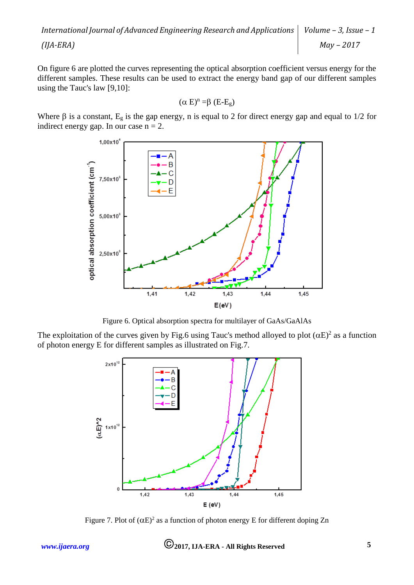*International Journal of Advanced Engineering Research and Applications (IJA-ERA) Volume – 3, Issue – 1 May – 2017*

On figure 6 are plotted the curves representing the optical absorption coefficient versus energy for the different samples. These results can be used to extract the energy band gap of our different samples using the Tauc's law [9,10]:

$$
(\alpha E)^n = \beta (E-E_g)
$$

Where  $\beta$  is a constant, E<sub>g</sub> is the gap energy, n is equal to 2 for direct energy gap and equal to 1/2 for indirect energy gap. In our case  $n = 2$ .



Figure 6. Optical absorption spectra for multilayer of GaAs/GaAlAs

The exploitation of the curves given by Fig.6 using Tauc's method alloyed to plot  $(\alpha E)^2$  as a function of photon energy E for different samples as illustrated on Fig.7.



Figure 7. Plot of  $(\alpha E)^2$  as a function of photon energy E for different doping Zn

*[www.ijaera.org](http://www.ijaera.org/)* **2017, IJA-ERA - All Rights Reserved 5**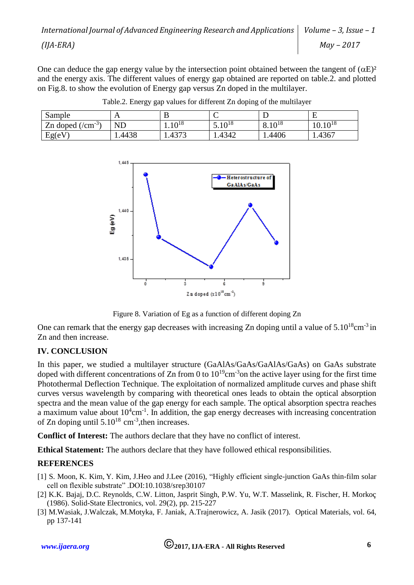One can deduce the gap energy value by the intersection point obtained between the tangent of  $(\alpha E)^2$ and the energy axis. The different values of energy gap obtained are reported on table.2. and plotted on Fig.8. to show the evolution of Energy gap versus Zn doped in the multilayer.

| Sample                       | LΣ         |                   |                           |                          | E                            |
|------------------------------|------------|-------------------|---------------------------|--------------------------|------------------------------|
| Zn doped<br>$\sqrt{cm^{-3}}$ | $\rm {NL}$ | $10^{18}$<br>1.IV | 1 <sub>0</sub> 18<br>J.IV | $10^{18}$<br>$v \cdot v$ | $10^{18}$<br>$\sim$<br>10.IV |
| Eg(eV)                       | .4438      | 1272<br>.43'      | 1.4342                    | 1.4406                   | 1.4367                       |







One can remark that the energy gap decreases with increasing Zn doping until a value of  $5.10^{18}$ cm<sup>-3</sup> in Zn and then increase.

## **IV. CONCLUSION**

In this paper, we studied a multilayer structure (GaAlAs/GaAs/GaAlAs/GaAs) on GaAs substrate doped with different concentrations of Zn from 0 to  $10^{19}$ cm<sup>-3</sup>on the active layer using for the first time Photothermal Deflection Technique. The exploitation of normalized amplitude curves and phase shift curves versus wavelength by comparing with theoretical ones leads to obtain the optical absorption spectra and the mean value of the gap energy for each sample. The optical absorption spectra reaches a maximum value about  $10^4$ cm<sup>-1</sup>. In addition, the gap energy decreases with increasing concentration of Zn doping until  $5.10^{18}$  cm<sup>-3</sup>, then increases.

**Conflict of Interest:** The authors declare that they have no conflict of interest.

**Ethical Statement:** The authors declare that they have followed ethical responsibilities.

#### **REFERENCES**

- [1] [S. Moon,](https://www.ncbi.nlm.nih.gov/pubmed/?term=Moon%20S%5BAuthor%5D&cauthor=true&cauthor_uid=27435899) [K. Kim,](https://www.ncbi.nlm.nih.gov/pubmed/?term=Kim%20K%5BAuthor%5D&cauthor=true&cauthor_uid=27435899) [Y. Kim,](https://www.ncbi.nlm.nih.gov/pubmed/?term=Kim%20Y%5BAuthor%5D&cauthor=true&cauthor_uid=27435899) [J.Heo](https://www.ncbi.nlm.nih.gov/pubmed/?term=Heo%20J%5BAuthor%5D&cauthor=true&cauthor_uid=27435899) and [J.Lee](https://www.ncbi.nlm.nih.gov/pubmed/?term=Lee%20J%5BAuthor%5D&cauthor=true&cauthor_uid=27435899) (2016), "Highly efficient single-junction GaAs thin-film solar cell on flexible substrate" .DOI:10.1038/srep30107
- [2] K.K. Bajaj, D.C. Reynolds, C.W. Litton, Jasprit Singh, P.W. Yu, W.T. Masselink, R. Fischer, H. Morkoç (1986). Solid-State Electronics, vol. 29(2), pp. 215-227
- [3] M.Wasiak, J.Walczak, M.Motyka, F. Janiak, A.Trajnerowicz, A. Jasik (2017). Optical Materials, vol. 64, pp 137-141